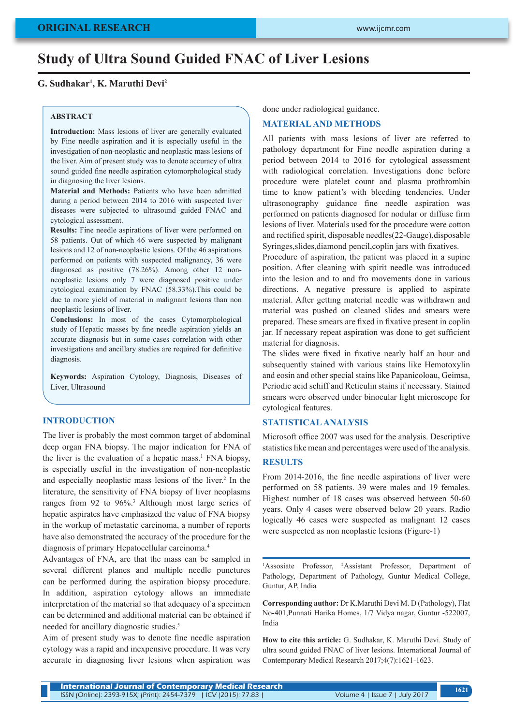# **Study of Ultra Sound Guided FNAC of Liver Lesions**

# **G. Sudhakar1 , K. Maruthi Devi2**

#### **ABSTRACT**

**Introduction:** Mass lesions of liver are generally evaluated by Fine needle aspiration and it is especially useful in the investigation of non-neoplastic and neoplastic mass lesions of the liver. Aim of present study was to denote accuracy of ultra sound guided fine needle aspiration cytomorphological study in diagnosing the liver lesions.

**Material and Methods:** Patients who have been admitted during a period between 2014 to 2016 with suspected liver diseases were subjected to ultrasound guided FNAC and cytological assessment.

**Results:** Fine needle aspirations of liver were performed on 58 patients. Out of which 46 were suspected by malignant lesions and 12 of non-neoplastic lesions. Of the 46 aspirations performed on patients with suspected malignancy, 36 were diagnosed as positive (78.26%). Among other 12 nonneoplastic lesions only 7 were diagnosed positive under cytological examination by FNAC (58.33%).This could be due to more yield of material in malignant lesions than non neoplastic lesions of liver.

**Conclusions:** In most of the cases Cytomorphological study of Hepatic masses by fine needle aspiration yields an accurate diagnosis but in some cases correlation with other investigations and ancillary studies are required for definitive diagnosis.

**Keywords:** Aspiration Cytology, Diagnosis, Diseases of Liver, Ultrasound

# **INTRODUCTION**

The liver is probably the most common target of abdominal deep organ FNA biopsy. The major indication for FNA of the liver is the evaluation of a hepatic mass.<sup>1</sup> FNA biopsy, is especially useful in the investigation of non-neoplastic and especially neoplastic mass lesions of the liver.<sup>2</sup> In the literature, the sensitivity of FNA biopsy of liver neoplasms ranges from 92 to 96%.<sup>3</sup> Although most large series of hepatic aspirates have emphasized the value of FNA biopsy in the workup of metastatic carcinoma, a number of reports have also demonstrated the accuracy of the procedure for the diagnosis of primary Hepatocellular carcinoma.4

Advantages of FNA, are that the mass can be sampled in several different planes and multiple needle punctures can be performed during the aspiration biopsy procedure. In addition, aspiration cytology allows an immediate interpretation of the material so that adequacy of a specimen can be determined and additional material can be obtained if needed for ancillary diagnostic studies.<sup>5</sup>

Aim of present study was to denote fine needle aspiration cytology was a rapid and inexpensive procedure. It was very accurate in diagnosing liver lesions when aspiration was done under radiological guidance.

## **MATERIAL AND METHODS**

All patients with mass lesions of liver are referred to pathology department for Fine needle aspiration during a period between 2014 to 2016 for cytological assessment with radiological correlation. Investigations done before procedure were platelet count and plasma prothrombin time to know patient's with bleeding tendencies. Under ultrasonography guidance fine needle aspiration was performed on patients diagnosed for nodular or diffuse firm lesions of liver. Materials used for the procedure were cotton and rectified spirit, disposable needles(22-Gauge),disposable Syringes,slides,diamond pencil,coplin jars with fixatives.

Procedure of aspiration, the patient was placed in a supine position. After cleaning with spirit needle was introduced into the lesion and to and fro movements done in various directions. A negative pressure is applied to aspirate material. After getting material needle was withdrawn and material was pushed on cleaned slides and smears were prepared. These smears are fixed in fixative present in coplin jar. If necessary repeat aspiration was done to get sufficient material for diagnosis.

The slides were fixed in fixative nearly half an hour and subsequently stained with various stains like Hemotoxylin and eosin and other special stains like Papanicoloau, Geimsa, Periodic acid schiff and Reticulin stains if necessary. Stained smears were observed under binocular light microscope for cytological features.

#### **STATISTICAL ANALYSIS**

Microsoft office 2007 was used for the analysis. Descriptive statistics like mean and percentages were used of the analysis.

#### **RESULTS**

From 2014-2016, the fine needle aspirations of liver were performed on 58 patients. 39 were males and 19 females. Highest number of 18 cases was observed between 50-60 years. Only 4 cases were observed below 20 years. Radio logically 46 cases were suspected as malignant 12 cases were suspected as non neoplastic lesions (Figure-1)

<sup>1</sup>Assosiate Professor, <sup>2</sup>Assistant Professor, Department of Pathology, Department of Pathology, Guntur Medical College, Guntur, AP, India

**Corresponding author:** Dr K.Maruthi Devi M. D (Pathology), Flat No-401,Punnati Harika Homes, 1/7 Vidya nagar, Guntur -522007, India

**How to cite this article:** G. Sudhakar, K. Maruthi Devi. Study of ultra sound guided FNAC of liver lesions. International Journal of Contemporary Medical Research 2017;4(7):1621-1623.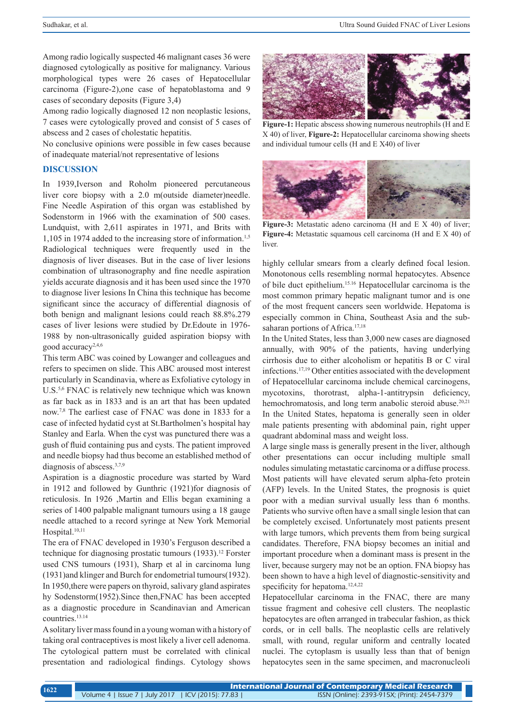Among radio logically suspected 46 malignant cases 36 were diagnosed cytologically as positive for malignancy. Various morphological types were 26 cases of Hepatocellular carcinoma (Figure-2),one case of hepatoblastoma and 9 cases of secondary deposits (Figure 3,4)

Among radio logically diagnosed 12 non neoplastic lesions, 7 cases were cytologically proved and consist of 5 cases of abscess and 2 cases of cholestatic hepatitis.

No conclusive opinions were possible in few cases because of inadequate material/not representative of lesions

## **DISCUSSION**

In 1939,Iverson and Roholm pioneered percutaneous liver core biopsy with a 2.0 m(outside diameter)needle. Fine Needle Aspiration of this organ was established by Sodenstorm in 1966 with the examination of 500 cases. Lundquist, with 2,611 aspirates in 1971, and Brits with 1,105 in 1974 added to the increasing store of information.1,5 Radiological techniques were frequently used in the diagnosis of liver diseases. But in the case of liver lesions combination of ultrasonography and fine needle aspiration yields accurate diagnosis and it has been used since the 1970 to diagnose liver lesions In China this technique has become significant since the accuracy of differential diagnosis of both benign and malignant lesions could reach 88.8%.279 cases of liver lesions were studied by Dr.Edoute in 1976- 1988 by non-ultrasonically guided aspiration biopsy with good accuracy2,4,6

This term ABC was coined by Lowanger and colleagues and refers to specimen on slide. This ABC aroused most interest particularly in Scandinavia, where as Exfoliative cytology in U.S.5,6 FNAC is relatively new technique which was known as far back as in 1833 and is an art that has been updated now.7,8 The earliest case of FNAC was done in 1833 for a case of infected hydatid cyst at St.Bartholmen's hospital hay Stanley and Earla. When the cyst was punctured there was a gush of fluid containing pus and cysts. The patient improved and needle biopsy had thus become an established method of diagnosis of abscess.<sup>3,7,9</sup>

Aspiration is a diagnostic procedure was started by Ward in 1912 and followed by Gunthric (1921)for diagnosis of reticulosis. In 1926 ,Martin and Ellis began examining a series of 1400 palpable malignant tumours using a 18 gauge needle attached to a record syringe at New York Memorial Hospital.<sup>10,11</sup>

The era of FNAC developed in 1930's Ferguson described a technique for diagnosing prostatic tumours (1933).<sup>12</sup> Forster used CNS tumours (1931), Sharp et al in carcinoma lung (1931)and klinger and Burch for endometrial tumours(1932). In 1950,there were papers on thyroid, salivary gland aspirates hy Sodenstorm(1952).Since then,FNAC has been accepted as a diagnostic procedure in Scandinavian and American countries.13.14

A solitary liver mass found in a young woman with a history of taking oral contraceptives is most likely a liver cell adenoma. The cytological pattern must be correlated with clinical presentation and radiological findings. Cytology shows



**Figure-1:** Hepatic abscess showing numerous neutrophils (H and E X 40) of liver, **Figure-2:** Hepatocellular carcinoma showing sheets and individual tumour cells (H and E X40) of liver



**Figure-3:** Metastatic adeno carcinoma (H and E X 40) of liver; **Figure-4:** Metastatic squamous cell carcinoma (H and E X 40) of liver.

highly cellular smears from a clearly defined focal lesion. Monotonous cells resembling normal hepatocytes. Absence of bile duct epithelium.15.16 Hepatocellular carcinoma is the most common primary hepatic malignant tumor and is one of the most frequent cancers seen worldwide. Hepatoma is especially common in China, Southeast Asia and the subsaharan portions of Africa.<sup>17,18</sup>

In the United States, less than 3,000 new cases are diagnosed annually, with 90% of the patients, having underlying cirrhosis due to either alcoholism or hepatitis B or C viral infections.17,19 Other entities associated with the development of Hepatocellular carcinoma include chemical carcinogens, mycotoxins, thorotrast, alpha-1-antitrypsin deficiency, hemochromatosis, and long term anabolic steroid abuse. $20,21$ In the United States, hepatoma is generally seen in older male patients presenting with abdominal pain, right upper quadrant abdominal mass and weight loss.

A large single mass is generally present in the liver, although other presentations can occur including multiple small nodules simulating metastatic carcinoma or a diffuse process. Most patients will have elevated serum alpha-feto protein (AFP) levels. In the United States, the prognosis is quiet poor with a median survival usually less than 6 months. Patients who survive often have a small single lesion that can be completely excised. Unfortunately most patients present with large tumors, which prevents them from being surgical candidates. Therefore, FNA biopsy becomes an initial and important procedure when a dominant mass is present in the liver, because surgery may not be an option. FNA biopsy has been shown to have a high level of diagnostic-sensitivity and specificity for hepatoma.<sup>12,4,22</sup>

Hepatocellular carcinoma in the FNAC, there are many tissue fragment and cohesive cell clusters. The neoplastic hepatocytes are often arranged in trabecular fashion, as thick cords, or in cell balls. The neoplastic cells are relatively small, with round, regular uniform and centrally located nuclei. The cytoplasm is usually less than that of benign hepatocytes seen in the same specimen, and macronucleoli